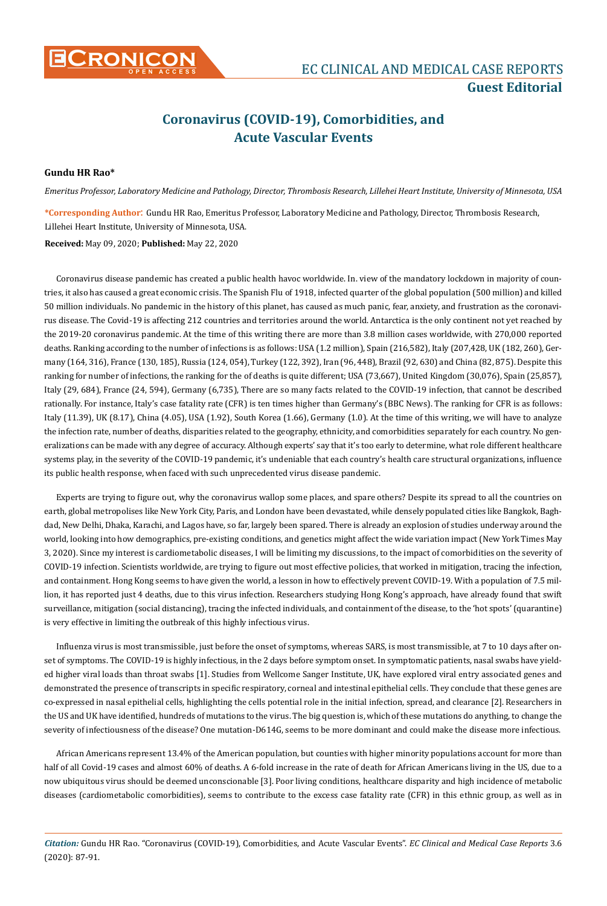

## **Coronavirus (COVID-19), Comorbidities, and Acute Vascular Events**

## **Gundu HR Rao\***

*Emeritus Professor, Laboratory Medicine and Pathology, Director, Thrombosis Research, Lillehei Heart Institute, University of Minnesota, USA*

**\*Corresponding Author**: Gundu HR Rao, Emeritus Professor, Laboratory Medicine and Pathology, Director, Thrombosis Research, Lillehei Heart Institute, University of Minnesota, USA.

## **Received:** May 09, 2020; **Published:** May 22, 2020

Coronavirus disease pandemic has created a public health havoc worldwide. In. view of the mandatory lockdown in majority of countries, it also has caused a great economic crisis. The Spanish Flu of 1918, infected quarter of the global population (500 million) and killed 50 million individuals. No pandemic in the history of this planet, has caused as much panic, fear, anxiety, and frustration as the coronavirus disease. The Covid-19 is affecting 212 countries and territories around the world. Antarctica is the only continent not yet reached by the 2019-20 coronavirus pandemic. At the time of this writing there are more than 3.8 million cases worldwide, with 270,000 reported deaths. Ranking according to the number of infections is as follows: USA (1.2 million), Spain (216,582), Italy (207,428, UK (182, 260), Germany (164, 316), France (130, 185), Russia (124, 054), Turkey (122, 392), Iran (96, 448), Brazil (92, 630) and China (82, 875). Despite this ranking for number of infections, the ranking for the of deaths is quite different; USA (73,667), United Kingdom (30,076), Spain (25,857), Italy (29, 684), France (24, 594), Germany (6,735), There are so many facts related to the COVID-19 infection, that cannot be described rationally. For instance, Italy's case fatality rate (CFR) is ten times higher than Germany's (BBC News). The ranking for CFR is as follows: Italy (11.39), UK (8.17), China (4.05), USA (1.92), South Korea (1.66), Germany (1.0). At the time of this writing, we will have to analyze the infection rate, number of deaths, disparities related to the geography, ethnicity, and comorbidities separately for each country. No generalizations can be made with any degree of accuracy. Although experts' say that it's too early to determine, what role different healthcare systems play, in the severity of the COVID-19 pandemic, it's undeniable that each country's health care structural organizations, influence its public health response, when faced with such unprecedented virus disease pandemic.

Experts are trying to figure out, why the coronavirus wallop some places, and spare others? Despite its spread to all the countries on earth, global metropolises like New York City, Paris, and London have been devastated, while densely populated cities like Bangkok, Baghdad, New Delhi, Dhaka, Karachi, and Lagos have, so far, largely been spared. There is already an explosion of studies underway around the world, looking into how demographics, pre-existing conditions, and genetics might affect the wide variation impact (New York Times May 3, 2020). Since my interest is cardiometabolic diseases, I will be limiting my discussions, to the impact of comorbidities on the severity of COVID-19 infection. Scientists worldwide, are trying to figure out most effective policies, that worked in mitigation, tracing the infection, and containment. Hong Kong seems to have given the world, a lesson in how to effectively prevent COVID-19. With a population of 7.5 million, it has reported just 4 deaths, due to this virus infection. Researchers studying Hong Kong's approach, have already found that swift surveillance, mitigation (social distancing), tracing the infected individuals, and containment of the disease, to the 'hot spots' (quarantine) is very effective in limiting the outbreak of this highly infectious virus.

Influenza virus is most transmissible, just before the onset of symptoms, whereas SARS, is most transmissible, at 7 to 10 days after onset of symptoms. The COVID-19 is highly infectious, in the 2 days before symptom onset. In symptomatic patients, nasal swabs have yielded higher viral loads than throat swabs [1]. Studies from Wellcome Sanger Institute, UK, have explored viral entry associated genes and demonstrated the presence of transcripts in specific respiratory, corneal and intestinal epithelial cells. They conclude that these genes are co-expressed in nasal epithelial cells, highlighting the cells potential role in the initial infection, spread, and clearance [2]. Researchers in the US and UK have identified, hundreds of mutations to the virus. The big question is, which of these mutations do anything, to change the severity of infectiousness of the disease? One mutation-D614G, seems to be more dominant and could make the disease more infectious.

African Americans represent 13.4% of the American population, but counties with higher minority populations account for more than half of all Covid-19 cases and almost 60% of deaths. A 6-fold increase in the rate of death for African Americans living in the US, due to a now ubiquitous virus should be deemed unconscionable [3]. Poor living conditions, healthcare disparity and high incidence of metabolic diseases (cardiometabolic comorbidities), seems to contribute to the excess case fatality rate (CFR) in this ethnic group, as well as in

*Citation:* Gundu HR Rao. "Coronavirus (COVID-19), Comorbidities, and Acute Vascular Events". *EC Clinical and Medical Case Reports* 3.6 (2020): 87-91.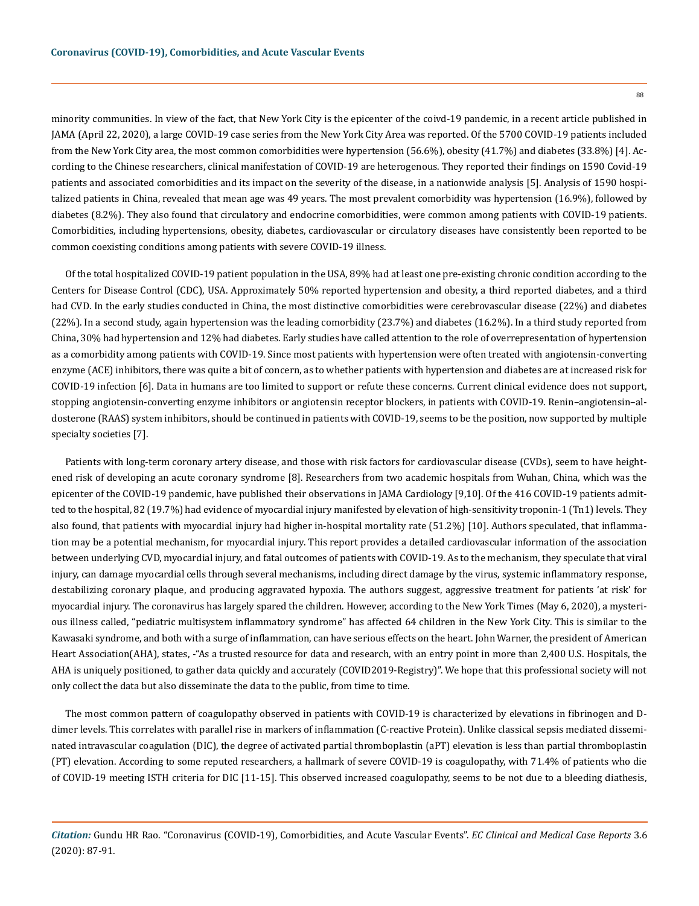minority communities. In view of the fact, that New York City is the epicenter of the coivd-19 pandemic, in a recent article published in JAMA (April 22, 2020), a large COVID-19 case series from the New York City Area was reported. Of the 5700 COVID-19 patients included from the New York City area, the most common comorbidities were hypertension (56.6%), obesity (41.7%) and diabetes (33.8%) [4]. According to the Chinese researchers, clinical manifestation of COVID-19 are heterogenous. They reported their findings on 1590 Covid-19 patients and associated comorbidities and its impact on the severity of the disease, in a nationwide analysis [5]. Analysis of 1590 hospitalized patients in China, revealed that mean age was 49 years. The most prevalent comorbidity was hypertension (16.9%), followed by diabetes (8.2%). They also found that circulatory and endocrine comorbidities, were common among patients with COVID-19 patients. Comorbidities, including hypertensions, obesity, diabetes, cardiovascular or circulatory diseases have consistently been reported to be common coexisting conditions among patients with severe COVID-19 illness.

Of the total hospitalized COVID-19 patient population in the USA, 89% had at least one pre-existing chronic condition according to the Centers for Disease Control (CDC), USA. Approximately 50% reported hypertension and obesity, a third reported diabetes, and a third had CVD. In the early studies conducted in China, the most distinctive comorbidities were cerebrovascular disease (22%) and diabetes (22%). In a second study, again hypertension was the leading comorbidity (23.7%) and diabetes (16.2%). In a third study reported from China, 30% had hypertension and 12% had diabetes. Early studies have called attention to the role of overrepresentation of hypertension as a comorbidity among patients with COVID-19. Since most patients with hypertension were often treated with angiotensin-converting enzyme (ACE) inhibitors, there was quite a bit of concern, as to whether patients with hypertension and diabetes are at increased risk for COVID-19 infection [6]. Data in humans are too limited to support or refute these concerns. Current clinical evidence does not support, stopping angiotensin-converting enzyme inhibitors or angiotensin receptor blockers, in patients with COVID-19. Renin–angiotensin–aldosterone (RAAS) system inhibitors, should be continued in patients with COVID-19, seems to be the position, now supported by multiple specialty societies [7].

Patients with long-term coronary artery disease, and those with risk factors for cardiovascular disease (CVDs), seem to have heightened risk of developing an acute coronary syndrome [8]. Researchers from two academic hospitals from Wuhan, China, which was the epicenter of the COVID-19 pandemic, have published their observations in JAMA Cardiology [9,10]. Of the 416 COVID-19 patients admitted to the hospital, 82 (19.7%) had evidence of myocardial injury manifested by elevation of high-sensitivity troponin-1 (Tn1) levels. They also found, that patients with myocardial injury had higher in-hospital mortality rate (51.2%) [10]. Authors speculated, that inflammation may be a potential mechanism, for myocardial injury. This report provides a detailed cardiovascular information of the association between underlying CVD, myocardial injury, and fatal outcomes of patients with COVID-19. As to the mechanism, they speculate that viral injury, can damage myocardial cells through several mechanisms, including direct damage by the virus, systemic inflammatory response, destabilizing coronary plaque, and producing aggravated hypoxia. The authors suggest, aggressive treatment for patients 'at risk' for myocardial injury. The coronavirus has largely spared the children. However, according to the New York Times (May 6, 2020), a mysterious illness called, "pediatric multisystem inflammatory syndrome" has affected 64 children in the New York City. This is similar to the Kawasaki syndrome, and both with a surge of inflammation, can have serious effects on the heart. John Warner, the president of American Heart Association(AHA), states, -"As a trusted resource for data and research, with an entry point in more than 2,400 U.S. Hospitals, the AHA is uniquely positioned, to gather data quickly and accurately (COVID2019-Registry)". We hope that this professional society will not only collect the data but also disseminate the data to the public, from time to time.

The most common pattern of coagulopathy observed in patients with COVID-19 is characterized by elevations in fibrinogen and Ddimer levels. This correlates with parallel rise in markers of inflammation (C-reactive Protein). Unlike classical sepsis mediated disseminated intravascular coagulation (DIC), the degree of activated partial thromboplastin (aPT) elevation is less than partial thromboplastin (PT) elevation. According to some reputed researchers, a hallmark of severe COVID-19 is coagulopathy, with 71.4% of patients who die of COVID-19 meeting ISTH criteria for DIC [11-15]. This observed increased coagulopathy, seems to be not due to a bleeding diathesis,

88

*Citation:* Gundu HR Rao. "Coronavirus (COVID-19), Comorbidities, and Acute Vascular Events". *EC Clinical and Medical Case Reports* 3.6 (2020): 87-91.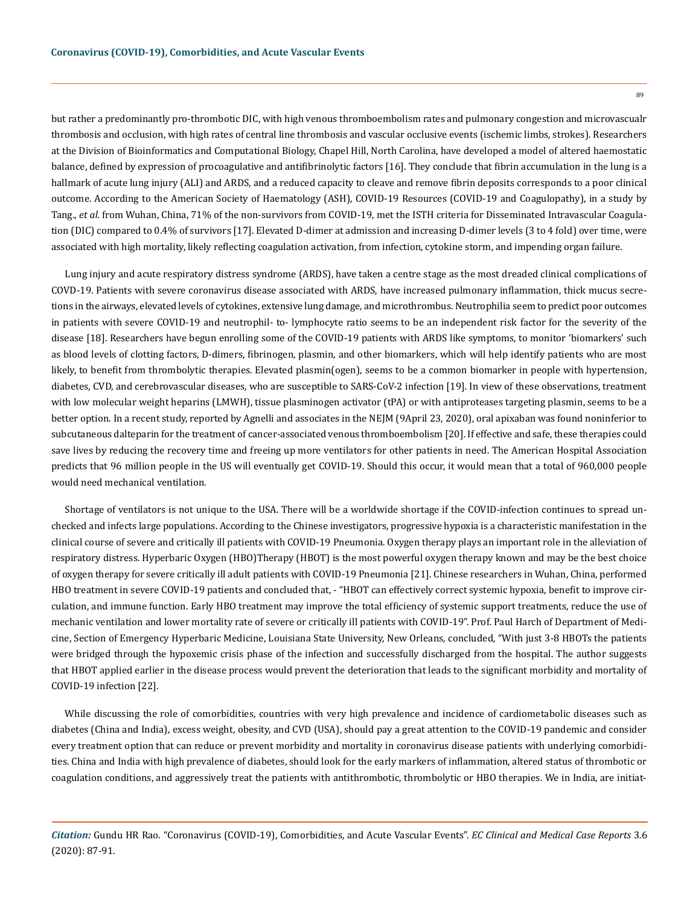but rather a predominantly pro-thrombotic DIC, with high venous thromboembolism rates and pulmonary congestion and microvascualr thrombosis and occlusion, with high rates of central line thrombosis and vascular occlusive events (ischemic limbs, strokes). Researchers at the Division of Bioinformatics and Computational Biology, Chapel Hill, North Carolina, have developed a model of altered haemostatic balance, defined by expression of procoagulative and antifibrinolytic factors [16]. They conclude that fibrin accumulation in the lung is a hallmark of acute lung injury (ALI) and ARDS, and a reduced capacity to cleave and remove fibrin deposits corresponds to a poor clinical outcome. According to the American Society of Haematology (ASH), COVID-19 Resources (COVID-19 and Coagulopathy), in a study by Tang., *et al.* from Wuhan, China, 71% of the non-survivors from COVID-19, met the ISTH criteria for Disseminated Intravascular Coagulation (DIC) compared to 0.4% of survivors [17]. Elevated D-dimer at admission and increasing D-dimer levels (3 to 4 fold) over time, were associated with high mortality, likely reflecting coagulation activation, from infection, cytokine storm, and impending organ failure.

Lung injury and acute respiratory distress syndrome (ARDS), have taken a centre stage as the most dreaded clinical complications of COVD-19. Patients with severe coronavirus disease associated with ARDS, have increased pulmonary inflammation, thick mucus secretions in the airways, elevated levels of cytokines, extensive lung damage, and microthrombus. Neutrophilia seem to predict poor outcomes in patients with severe COVID-19 and neutrophil- to- lymphocyte ratio seems to be an independent risk factor for the severity of the disease [18]. Researchers have begun enrolling some of the COVID-19 patients with ARDS like symptoms, to monitor 'biomarkers' such as blood levels of clotting factors, D-dimers, fibrinogen, plasmin, and other biomarkers, which will help identify patients who are most likely, to benefit from thrombolytic therapies. Elevated plasmin(ogen), seems to be a common biomarker in people with hypertension, diabetes, CVD, and cerebrovascular diseases, who are susceptible to SARS-CoV-2 infection [19]. In view of these observations, treatment with low molecular weight heparins (LMWH), tissue plasminogen activator (tPA) or with antiproteases targeting plasmin, seems to be a better option. In a recent study, reported by Agnelli and associates in the NEJM (9April 23, 2020), oral apixaban was found noninferior to subcutaneous dalteparin for the treatment of cancer-associated venous thromboembolism [20]. If effective and safe, these therapies could save lives by reducing the recovery time and freeing up more ventilators for other patients in need. The American Hospital Association predicts that 96 million people in the US will eventually get COVID-19. Should this occur, it would mean that a total of 960,000 people would need mechanical ventilation.

Shortage of ventilators is not unique to the USA. There will be a worldwide shortage if the COVID-infection continues to spread unchecked and infects large populations. According to the Chinese investigators, progressive hypoxia is a characteristic manifestation in the clinical course of severe and critically ill patients with COVID-19 Pneumonia. Oxygen therapy plays an important role in the alleviation of respiratory distress. Hyperbaric Oxygen (HBO)Therapy (HBOT) is the most powerful oxygen therapy known and may be the best choice of oxygen therapy for severe critically ill adult patients with COVID-19 Pneumonia [21]. Chinese researchers in Wuhan, China, performed HBO treatment in severe COVID-19 patients and concluded that, - "HBOT can effectively correct systemic hypoxia, benefit to improve circulation, and immune function. Early HBO treatment may improve the total efficiency of systemic support treatments, reduce the use of mechanic ventilation and lower mortality rate of severe or critically ill patients with COVID-19". Prof. Paul Harch of Department of Medicine, Section of Emergency Hyperbaric Medicine, Louisiana State University, New Orleans, concluded, "With just 3-8 HBOTs the patients were bridged through the hypoxemic crisis phase of the infection and successfully discharged from the hospital. The author suggests that HBOT applied earlier in the disease process would prevent the deterioration that leads to the significant morbidity and mortality of COVID-19 infection [22].

While discussing the role of comorbidities, countries with very high prevalence and incidence of cardiometabolic diseases such as diabetes (China and India), excess weight, obesity, and CVD (USA), should pay a great attention to the COVID-19 pandemic and consider every treatment option that can reduce or prevent morbidity and mortality in coronavirus disease patients with underlying comorbidities. China and India with high prevalence of diabetes, should look for the early markers of inflammation, altered status of thrombotic or coagulation conditions, and aggressively treat the patients with antithrombotic, thrombolytic or HBO therapies. We in India, are initiat-

89

*Citation:* Gundu HR Rao. "Coronavirus (COVID-19), Comorbidities, and Acute Vascular Events". *EC Clinical and Medical Case Reports* 3.6 (2020): 87-91.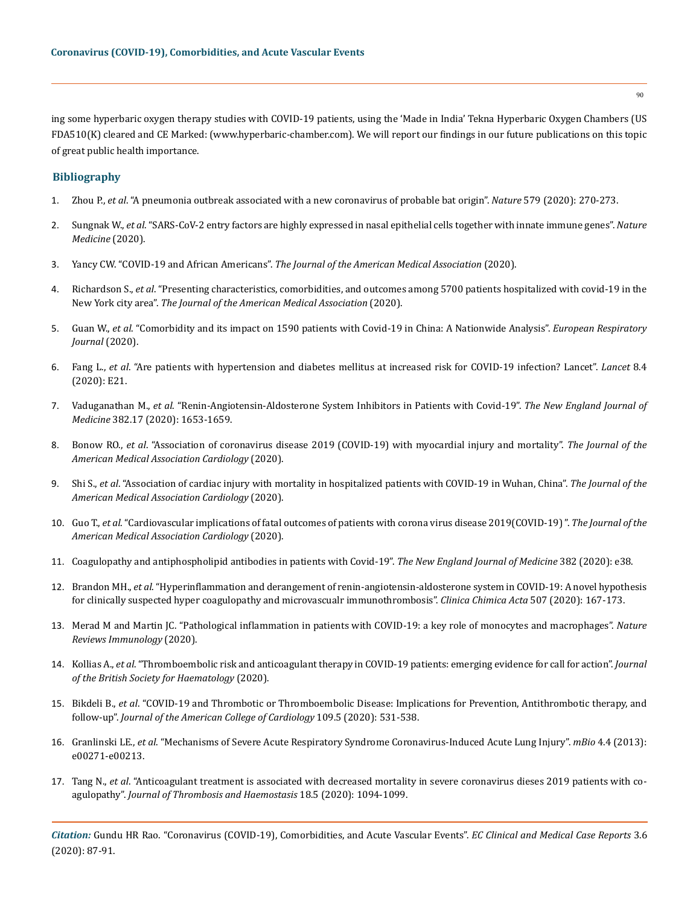ing some hyperbaric oxygen therapy studies with COVID-19 patients, using the 'Made in India' Tekna Hyperbaric Oxygen Chambers (US FDA510(K) cleared and CE Marked: (www.hyperbaric-chamber.com). We will report our findings in our future publications on this topic of great public health importance.

## **Bibliography**

- 1. Zhou P., *et al*[. "A pneumonia outbreak associated with a new coronavirus of probable bat origin".](https://www.nature.com/articles/s41586-020-2012-7) *Nature* 579 (2020): 270-273.
- 2. Sungnak W., *et al*[. "SARS-CoV-2 entry factors are highly expressed in nasal epithelial cells together with innate immune genes".](https://www.nature.com/articles/s41591-020-0868-6) *Nature [Medicine](https://www.nature.com/articles/s41591-020-0868-6)* (2020).
- 3. Yancy CW. "COVID-19 and African Americans". *[The Journal of the American Medical Association](https://jamanetwork.com/journals/jama/fullarticle/2764789)* (2020).
- 4. Richardson S., *et al*[. "Presenting characteristics, comorbidities, and outcomes among 5700 patients hospitalized with covid-19 in the](https://jamanetwork.com/journals/jama/fullarticle/2765184)  New York city area". *[The Journal of the American Medical Association](https://jamanetwork.com/journals/jama/fullarticle/2765184)* (2020).
- 5. Guan W., *et al*[. "Comorbidity and its impact on 1590 patients with Covid-19 in China: A Nationwide Analysis".](https://erj.ersjournals.com/content/early/2020/03/17/13993003.00547-2020) *European Respiratory [Journal](https://erj.ersjournals.com/content/early/2020/03/17/13993003.00547-2020)* (2020).
- 6. Fang L., *et al*[. "Are patients with hypertension and diabetes mellitus at increased risk for COVID-19 infection? Lancet".](https://pubmed.ncbi.nlm.nih.gov/32171062/) *Lancet* 8.4 [\(2020\): E21.](https://pubmed.ncbi.nlm.nih.gov/32171062/)
- 7. Vaduganathan M., *et al*[. "Renin-Angiotensin-Aldosterone System Inhibitors in Patients with Covid-19".](https://www.nejm.org/doi/full/10.1056/NEJMsr2005760) *The New England Journal of Medicine* [382.17 \(2020\): 1653-1659.](https://www.nejm.org/doi/full/10.1056/NEJMsr2005760)
- 8. Bonow RO., *et al*[. "Association of coronavirus disease 2019 \(COVID-19\) with myocardial injury and mortality".](https://pubmed.ncbi.nlm.nih.gov/32219362/) *The Journal of the [American Medical Association Cardiology](https://pubmed.ncbi.nlm.nih.gov/32219362/)* (2020).
- 9. Shi S., *et al*[. "Association of cardiac injury with mortality in hospitalized patients with COVID-19 in Wuhan, China".](https://jamanetwork.com/journals/jamacardiology/fullarticle/2763524) *The Journal of the [American Medical Association Cardiology](https://jamanetwork.com/journals/jamacardiology/fullarticle/2763524)* (2020).
- 10. Guo T., *et al*[. "Cardiovascular implications of fatal outcomes of patients with corona virus disease 2019\(COVID-19\) ".](https://jamanetwork.com/journals/jamacardiology/fullarticle/2763845) *The Journal of the [American Medical Association Cardiology](https://jamanetwork.com/journals/jamacardiology/fullarticle/2763845)* (2020).
- 11. [Coagulopathy and antiphospholipid antibodies in patients with Covid-19".](https://www.nejm.org/doi/full/10.1056/NEJMc2007575) *The New England Journal of Medicine* 382 (2020): e38.
- 12. Brandon MH., *et al*[. "Hyperinflammation and derangement of renin-angiotensin-aldosterone system in COVID-19: A novel hypothesis](https://www.sciencedirect.com/science/article/abs/pii/S0009898120301832)  [for clinically suspected hyper coagulopathy and microvascualr immunothrombosis".](https://www.sciencedirect.com/science/article/abs/pii/S0009898120301832) *Clinica Chimica Acta* 507 (2020): 167-173.
- 13. [Merad M and Martin JC. "Pathological inflammation in patients with COVID-19: a key role of monocytes and macrophages".](https://www.nature.com/articles/s41577-020-0331-4) *Nature [Reviews Immunology](https://www.nature.com/articles/s41577-020-0331-4)* (2020).
- 14. Kollias A., *et al*[. "Thromboembolic risk and anticoagulant therapy in COVID-19 patients: emerging evidence for call for action".](https://pubmed.ncbi.nlm.nih.gov/32304577/) *Journal [of the British Society for Haematology](https://pubmed.ncbi.nlm.nih.gov/32304577/)* (2020).
- 15. Bikdeli B., *et al*[. "COVID-19 and Thrombotic or Thromboembolic Disease: Implications for Prevention, Antithrombotic therapy, and](https://www.onlinejacc.org/content/early/2020/04/15/j.jacc.2020.04.031)  follow-up". *[Journal of the American College of Cardiology](https://www.onlinejacc.org/content/early/2020/04/15/j.jacc.2020.04.031)* 109.5 (2020): 531-538.
- 16. Granlinski LE., *et al*[. "Mechanisms of Severe Acute Respiratory Syndrome Coronavirus-Induced Acute Lung Injury".](https://pubmed.ncbi.nlm.nih.gov/23919993/) *mBio* 4.4 (2013): [e00271-e00213.](https://pubmed.ncbi.nlm.nih.gov/23919993/)
- 17. Tang N., *et al*[. "Anticoagulant treatment is associated with decreased mortality in severe coronavirus dieses 2019 patients with co](https://pubmed.ncbi.nlm.nih.gov/32220112/)agulopathy". *[Journal of Thrombosis and Haemostasis](https://pubmed.ncbi.nlm.nih.gov/32220112/)* 18.5 (2020): 1094-1099.

*Citation:* Gundu HR Rao. "Coronavirus (COVID-19), Comorbidities, and Acute Vascular Events". *EC Clinical and Medical Case Reports* 3.6 (2020): 87-91.

90